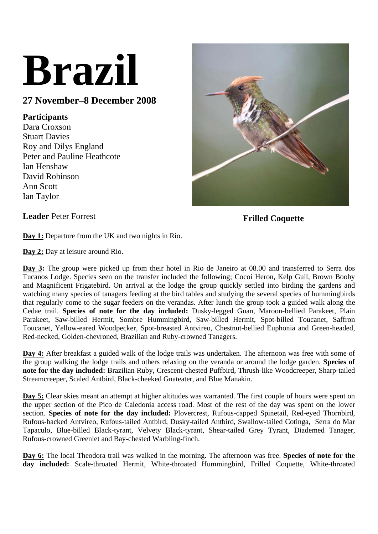# **Brazil**

## **27 November–8 December 2008**

### **Participants**

Dara Croxson Stuart Davies Roy and Dilys England Peter and Pauline Heathcote Ian Henshaw David Robinson Ann Scott Ian Taylor



**Leader Peter Forrest Frilled Coquette** 

**Day 1:** Departure from the UK and two nights in Rio.

**Day 2:** Day at leisure around Rio.

**Day 3:** The group were picked up from their hotel in Rio de Janeiro at 08.00 and transferred to Serra dos Tucanos Lodge. Species seen on the transfer included the following; Cocoi Heron, Kelp Gull, Brown Booby and Magnificent Frigatebird. On arrival at the lodge the group quickly settled into birding the gardens and watching many species of tanagers feeding at the bird tables and studying the several species of hummingbirds that regularly come to the sugar feeders on the verandas. After lunch the group took a guided walk along the Cedae trail. **Species of note for the day included:** Dusky-legged Guan, Maroon-bellied Parakeet, Plain Parakeet, Saw-billed Hermit, Sombre Hummingbird, Saw-billed Hermit, Spot-billed Toucanet, Saffron Toucanet, Yellow-eared Woodpecker, Spot-breasted Antvireo, Chestnut-bellied Euphonia and Green-headed, Red-necked, Golden-chevroned, Brazilian and Ruby-crowned Tanagers.

**Day 4:** After breakfast a guided walk of the lodge trails was undertaken. The afternoon was free with some of the group walking the lodge trails and others relaxing on the veranda or around the lodge garden. **Species of note for the day included:** Brazilian Ruby, Crescent-chested Puffbird, Thrush-like Woodcreeper, Sharp-tailed Streamcreeper, Scaled Antbird, Black-cheeked Gnateater, and Blue Manakin.

**Day 5:** Clear skies meant an attempt at higher altitudes was warranted. The first couple of hours were spent on the upper section of the Pico de Caledonia access road. Most of the rest of the day was spent on the lower section. **Species of note for the day included:** Plovercrest, Rufous-capped Spinetail, Red-eyed Thornbird, Rufous-backed Antvireo, Rufous-tailed Antbird, Dusky-tailed Antbird, Swallow-tailed Cotinga, Serra do Mar Tapaculo, Blue-billed Black-tyrant, Velvety Black-tyrant, Shear-tailed Grey Tyrant, Diademed Tanager, Rufous-crowned Greenlet and Bay-chested Warbling-finch.

**Day 6:** The local Theodora trail was walked in the morning**.** The afternoon was free. **Species of note for the day included:** Scale-throated Hermit, White-throated Hummingbird, Frilled Coquette, White-throated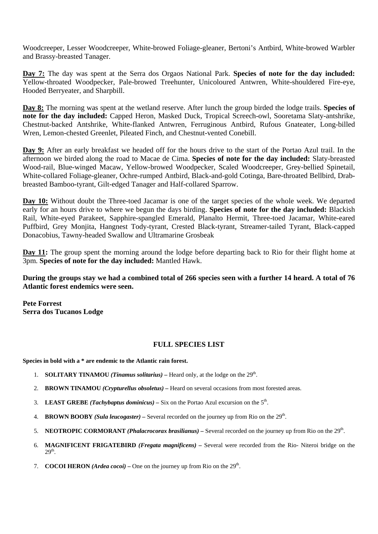Woodcreeper, Lesser Woodcreeper, White-browed Foliage-gleaner, Bertoni's Antbird, White-browed Warbler and Brassy-breasted Tanager.

**Day 7:** The day was spent at the Serra dos Orgaos National Park. **Species of note for the day included:**  Yellow-throated Woodpecker, Pale-browed Treehunter, Unicoloured Antwren, White-shouldered Fire-eye, Hooded Berryeater, and Sharpbill.

**Day 8:** The morning was spent at the wetland reserve. After lunch the group birded the lodge trails. **Species of note for the day included:** Capped Heron, Masked Duck, Tropical Screech-owl, Sooretama Slaty-antshrike, Chestnut-backed Antshrike, White-flanked Antwren, Ferruginous Antbird, Rufous Gnateater, Long-billed Wren, Lemon-chested Greenlet, Pileated Finch, and Chestnut-vented Conebill.

**Day 9:** After an early breakfast we headed off for the hours drive to the start of the Portao Azul trail. In the afternoon we birded along the road to Macae de Cima. **Species of note for the day included:** Slaty-breasted Wood-rail, Blue-winged Macaw, Yellow-browed Woodpecker, Scaled Woodcreeper, Grey-bellied Spinetail, White-collared Foliage-gleaner, Ochre-rumped Antbird, Black-and-gold Cotinga, Bare-throated Bellbird, Drabbreasted Bamboo-tyrant, Gilt-edged Tanager and Half-collared Sparrow.

**Day 10:** Without doubt the Three-toed Jacamar is one of the target species of the whole week. We departed early for an hours drive to where we begun the days birding. **Species of note for the day included:** Blackish Rail, White-eyed Parakeet, Sapphire-spangled Emerald, Planalto Hermit, Three-toed Jacamar, White-eared Puffbird, Grey Monjita, Hangnest Tody-tyrant, Crested Black-tyrant, Streamer-tailed Tyrant, Black-capped Donacobius, Tawny-headed Swallow and Ultramarine Grosbeak

**Day 11:** The group spent the morning around the lodge before departing back to Rio for their flight home at 3pm. **Species of note for the day included:** Mantled Hawk.

**During the groups stay we had a combined total of 266 species seen with a further 14 heard. A total of 76 Atlantic forest endemics were seen.** 

**Pete Forrest Serra dos Tucanos Lodge** 

#### **FULL SPECIES LIST**

**Species in bold with a \* are endemic to the Atlantic rain forest.** 

- 1. **SOLITARY TINAMOU** *(Tinamus solitarius)* Heard only, at the lodge on the  $29<sup>th</sup>$ .
- 2. **BROWN TINAMOU** *(Crypturellus obsoletus)* Heard on several occasions from most forested areas.
- 3. **LEAST GREBE** *(Tachybaptus dominicus)* Six on the Portao Azul excursion on the  $5<sup>th</sup>$ .
- 4. **BROWN BOOBY** *(Sula leucogaster)* Several recorded on the journey up from Rio on the 29th.
- 5. **NEOTROPIC CORMORANT** *(Phalacrocorax brasilianus)* Several recorded on the journey up from Rio on the 29th.
- 6. **MAGNIFICENT FRIGATEBIRD** *(Fregata magnificens)* Several were recorded from the Rio- Niteroi bridge on the 29th.
- 7. **COCOI HERON** (*Ardea cocoi*) One on the journey up from Rio on the  $29<sup>th</sup>$ .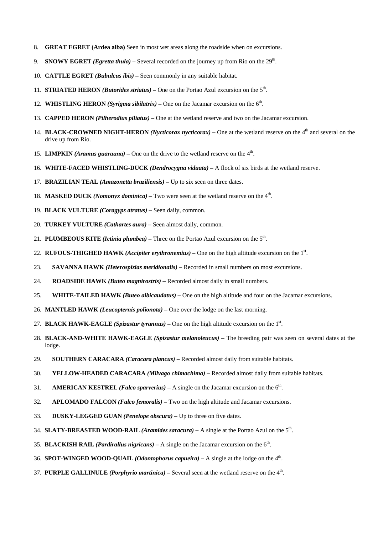- 8. **GREAT EGRET (Ardea alba)** Seen in most wet areas along the roadside when on excursions.
- 9. **SNOWY EGRET** *(Egretta thula)* Several recorded on the journey up from Rio on the 29<sup>th</sup>.
- 10. **CATTLE EGRET** *(Bubulcus ibis)* Seen commonly in any suitable habitat.
- 11. **STRIATED HERON** *(Butorides striatus)* One on the Portao Azul excursion on the  $5<sup>th</sup>$ .
- 12. **WHISTLING HERON** *(Syrigma sibilatrix)* One on the Jacamar excursion on the  $6<sup>th</sup>$ .
- 13. **CAPPED HERON** *(Pilherodius piliatus)* One at the wetland reserve and two on the Jacamar excursion.
- 14. **BLACK-CROWNED NIGHT-HERON** *(Nycticorax nycticorax)* One at the wetland reserve on the 4<sup>th</sup> and several on the drive up from Rio.
- 15. **LIMPKIN** *(Aramus guarauna)* One on the drive to the wetland reserve on the  $4<sup>th</sup>$ .
- 16. **WHITE-FACED WHISTLING-DUCK** *(Dendrocygna viduata)* A flock of six birds at the wetland reserve.
- 17. **BRAZILIAN TEAL** *(Amazonetta braziliensis)* Up to six seen on three dates.
- 18. **MASKED DUCK** *(Nomonyx dominica)* Two were seen at the wetland reserve on the  $4<sup>th</sup>$ .
- 19. **BLACK VULTURE** *(Coragyps atratus)* Seen daily, common.
- 20. **TURKEY VULTURE** *(Cathartes aura)* Seen almost daily, common.
- 21. **PLUMBEOUS KITE** *(Ictinia plumbea)* Three on the Portao Azul excursion on the  $5<sup>th</sup>$ .
- 22. RUFOUS-THIGHED HAWK *(Accipiter erythronemius)* One on the high altitude excursion on the 1<sup>st</sup>.
- 23. **SAVANNA HAWK** *(Heterospizias meridionalis)* Recorded in small numbers on most excursions.
- 24. **ROADSIDE HAWK** *(Buteo magnirostris)* Recorded almost daily in small numbers.
- 25. **WHITE-TAILED HAWK** *(Buteo albicaudatus)* One on the high altitude and four on the Jacamar excursions.
- 26. **MANTLED HAWK** *(Leucopternis polionota)* One over the lodge on the last morning.
- 27. **BLACK HAWK-EAGLE** *(Spizastur tyrannus)* One on the high altitude excursion on the  $1<sup>st</sup>$ .
- 28. **BLACK-AND-WHITE HAWK-EAGLE** *(Spizastur melanoleucus)* The breeding pair was seen on several dates at the lodge.
- 29. **SOUTHERN CARACARA** *(Caracara plancus)* Recorded almost daily from suitable habitats.
- 30. **YELLOW-HEADED CARACARA** *(Milvago chimachima)* Recorded almost daily from suitable habitats.
- 31. **AMERICAN KESTREL** *(Falco sparverius)* A single on the Jacamar excursion on the  $6<sup>th</sup>$ .
- 32. **APLOMADO FALCON** *(Falco femoralis)* Two on the high altitude and Jacamar excursions.
- 33. **DUSKY-LEGGED GUAN** *(Penelope obscura)* Up to three on five dates.
- 34. **SLATY-BREASTED WOOD-RAIL** *(Aramides saracura)* A single at the Portao Azul on the 5th.
- 35. **BLACKISH RAIL** *(Pardirallus nigricans)* A single on the Jacamar excursion on the  $6<sup>th</sup>$ .
- 36. **SPOT-WINGED WOOD-QUAIL** *(Odontophorus capueira)* A single at the lodge on the 4th.
- 37. **PURPLE GALLINULE** *(Porphyrio martinica)* Several seen at the wetland reserve on the 4th.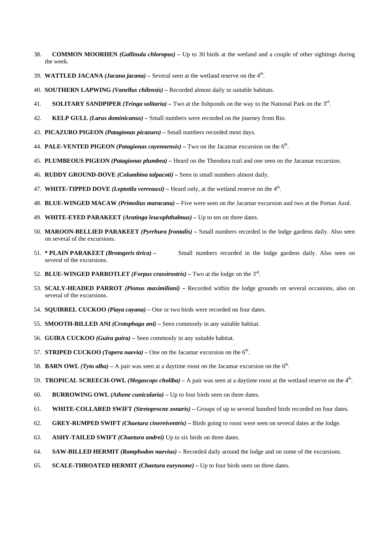- 38. **COMMON MOORHEN** *(Gallinula chloropus)* Up to 30 birds at the wetland and a couple of other sightings during the week.
- 39. **WATTLED JACANA** *(Jacana jacana)* Several seen at the wetland reserve on the 4th.
- 40. **SOUTHERN LAPWING** *(Vanellus chilensis)* Recorded almost daily in suitable habitats.
- 41. **SOLITARY SANDPIPER** *(Tringa solitaria)* Two at the fishponds on the way to the National Park on the 3rd.
- 42. **KELP GULL** *(Larus dominicanus)* Small numbers were recorded on the journey from Rio.
- 43. **PICAZURO PIGEON** *(Patagionas picazuro)* Small numbers recorded most days.
- 44. **PALE-VENTED PIGEON** *(Patagionas cayennensis)* Two on the Jacamar excursion on the 6th.
- 45. **PLUMBEOUS PIGEON** *(Patagionas plumbea)* Heard on the Theodora trail and one seen on the Jacamar excursion.
- 46. **RUDDY GROUND-DOVE** *(Columbina talpacoti)* Seen in small numbers almost daily.
- 47. **WHITE-TIPPED DOVE** *(Leptotila verreauxi)* Heard only, at the wetland reserve on the 4th.
- 48. **BLUE-WINGED MACAW** *(Primolius maracana)* Five were seen on the Jacamar excursion and two at the Portao Azul.
- 49. **WHITE-EYED PARAKEET** *(Aratinga leucophthalmus)* Up to ten on three dates.
- 50. **MAROON-BELLIED PARAKEET** *(Pyrrhura frontalis)* Small numbers recorded in the lodge gardens daily. Also seen on several of the excursions.
- 51. **\* PLAIN PARAKEET** *(Brotogeris tirica)* Small numbers recorded in the lodge gardens daily. Also seen on several of the excursions.
- 52. **BLUE-WINGED PARROTLET** *(Forpus crassirostris)* Two at the lodge on the 3rd.
- 53. **SCALY-HEADED PARROT** *(Pionus maximiliani)* Recorded within the lodge grounds on several occasions, also on several of the excursions.
- 54. **SQUIRREL CUCKOO** *(Piaya cayana)* One or two birds were recorded on four dates.
- 55. **SMOOTH-BILLED ANI** *(Crotophaga ani)* Seen commonly in any suitable habitat.
- 56. **GUIRA CUCKOO** *(Guira guira)* Seen commonly in any suitable habitat.
- 57. **STRIPED CUCKOO** *(Tapera naevia)* One on the Jacamar excursion on the  $6<sup>th</sup>$ .
- 58. **BARN OWL** (Tyto alba) A pair was seen at a daytime roost on the Jacamar excursion on the  $6<sup>th</sup>$ .
- 59. **TROPICAL SCREECH-OWL** *(Megascops choliba)* A pair was seen at a daytime roost at the wetland reserve on the 4th.
- 60. **BURROWING OWL** *(Athene cunicularia)* Up to four birds seen on three dates.
- 61. **WHITE-COLLARED SWIFT** *(Stretoprocne zonaris)* Groups of up to several hundred birds recorded on four dates.
- 62. **GREY-RUMPED SWIFT** *(Chaetura cinereiventris)* Birds going to roost were seen on several dates at the lodge.
- 63. **ASHY-TAILED SWIFT** *(Chaetura andrei)* Up to six birds on three dates.
- 64. **SAW-BILLED HERMIT** *(Ramphodon naevius)* Recorded daily around the lodge and on some of the excursions.
- 65. **SCALE-THROATED HERMIT** *(Chaetura eurynome)* Up to four birds seen on three dates.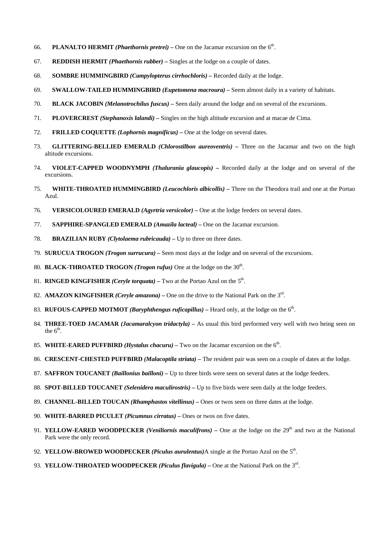- 66. **PLANALTO HERMIT** *(Phaethornis pretrei)* One on the Jacamar excursion on the  $6<sup>th</sup>$ .
- 67. **REDDISH HERMIT** *(Phaethornis rubber)* Singles at the lodge on a couple of dates.
- 68. **SOMBRE HUMMINGBIRD** *(Campylopterus cirrhochloris)* Recorded daily at the lodge.
- 69. **SWALLOW-TAILED HUMMINGBIRD** *(Eupetomena macroura)* Seem almost daily in a variety of habitats.
- 70. **BLACK JACOBIN** *(Melanotrochilus fuscus)* Seen daily around the lodge and on several of the excursions.
- 71. **PLOVERCREST** *(Stephanoxis lalandi)* Singles on the high altitude excursion and at macae de Cima.
- 72. **FRILLED COQUETTE** *(Lophornis magnificus)* One at the lodge on several dates.
- 73. **GLITTERING-BELLIED EMERALD** *(Chlorostilbon aureoventris)* Three on the Jacamar and two on the high altitude excursions.
- 74. **VIOLET-CAPPED WOODNYMPH** *(Thalurania glaucopis)* Recorded daily at the lodge and on several of the excursions.
- 75. **WHITE-THROATED HUMMINGBIRD** *(Leucochloris albicollis)* Three on the Theodora trail and one at the Portao Azul.
- 76. **VERSICOLOURED EMERALD** *(Agyrtria versicolor)* One at the lodge feeders on several dates.
- 77. **SAPPHIRE-SPANGLED EMERALD** *(Amazila lacteal)* One on the Jacamar excursion.
- 78. **BRAZILIAN RUBY** *(Clytolaema rubricauda)* Up to three on three dates.
- 79. **SURUCUA TROGON** *(Trogon surrucura)* Seen most days at the lodge and on several of the excursions.
- 80. **BLACK-THROATED TROGON** *(Trogon rufus)* One at the lodge on the 30<sup>th</sup>.
- 81. **RINGED KINGFISHER** *(Ceryle torquata)* Two at the Portao Azul on the  $5<sup>th</sup>$ .
- 82. **AMAZON KINGFISHER** *(Ceryle amazona)* One on the drive to the National Park on the 3rd.
- 83. **RUFOUS-CAPPED MOTMOT** *(Baryphthengus ruficapillus)* Heard only, at the lodge on the 6th.
- 84. **THREE-TOED JACAMAR** *(Jacamaralcyon tridactyla)* As usual this bird performed very well with two being seen on the  $6<sup>th</sup>$ .
- 85. **WHITE-EARED PUFFBIRD** *(Hystalus chacuru)* Two on the Jacamar excursion on the 6th.
- 86. **CRESCENT-CHESTED PUFFBIRD** *(Malacoptila striata)* The resident pair was seen on a couple of dates at the lodge.
- 87. **SAFFRON TOUCANET** *(Baillonius bailloni)* Up to three birds were seen on several dates at the lodge feeders.
- 88. **SPOT-BILLED TOUCANET** *(Selenidera maculirostris)* Up to five birds were seen daily at the lodge feeders.
- 89. **CHANNEL-BILLED TOUCAN** *(Rhamphastos vitellinus)* Ones or twos seen on three dates at the lodge.
- 90. **WHITE-BARRED PICULET** *(Picumnus cirratus)* Ones or twos on five dates.
- 91. **YELLOW-EARED WOODPECKER** *(Veniliornis maculifrons)* One at the lodge on the 29<sup>th</sup> and two at the National Park were the only record.
- 92. **YELLOW-BROWED WOODPECKER** *(Piculus aurulentus)*A single at the Portao Azul on the 5th.
- 93. **YELLOW-THROATED WOODPECKER** *(Piculus flavigula)* One at the National Park on the 3rd.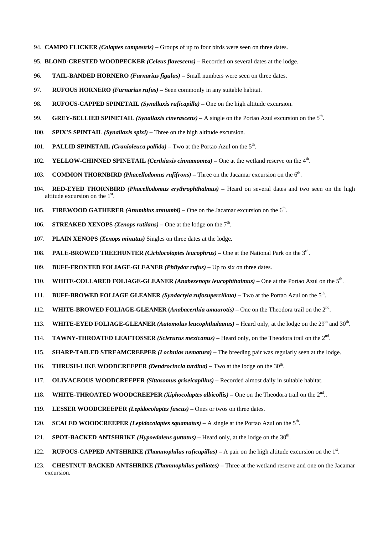- 94. **CAMPO FLICKER** *(Colaptes campestris)* Groups of up to four birds were seen on three dates.
- 95. **BLOND-CRESTED WOODPECKER** *(Celeus flavescens)* Recorded on several dates at the lodge.
- 96. **TAIL-BANDED HORNERO** *(Furnarius figulus)* Small numbers were seen on three dates.
- 97. **RUFOUS HORNERO** *(Furnarius rufus)* Seen commonly in any suitable habitat.
- 98. **RUFOUS-CAPPED SPINETAIL** *(Synallaxis ruficapilla)* One on the high altitude excursion.
- 99. **GREY-BELLIED SPINETAIL** *(Synallaxis cinerascens)* A single on the Portao Azul excursion on the 5th.
- 100. **SPIX'S SPINTAIL** *(Synallaxis spixi)* Three on the high altitude excursion.
- 101. **PALLID SPINETAIL** *(Cranioleuca pallida)* Two at the Portao Azul on the  $5<sup>th</sup>$ .
- 102. **YELLOW-CHINNED SPINETAIL** *(Certhiaxis cinnamomea)* One at the wetland reserve on the 4<sup>th</sup>.
- 103. **COMMON THORNBIRD** *(Phacellodomus rufifrons)* Three on the Jacamar excursion on the 6th.
- 104. **RED-EYED THORNBIRD** *(Phacellodomus erythrophthalmus)* Heard on several dates and two seen on the high altitude excursion on the  $1<sup>st</sup>$ .
- 105. **FIREWOOD GATHERER** *(Anumbius annumbi)* One on the Jacamar excursion on the 6th.
- 106. **STREAKED XENOPS** *(Xenops rutilans)* One at the lodge on the  $7<sup>th</sup>$ .
- 107. **PLAIN XENOPS** *(Xenops minutus)* Singles on three dates at the lodge.
- 108. **PALE-BROWED TREEHUNTER** *(Cichlocolaptes leucophrus)* One at the National Park on the 3rd.
- 109. **BUFF-FRONTED FOLIAGE-GLEANER** *(Philydor rufus)* Up to six on three dates.
- 110. **WHITE-COLLARED FOLIAGE-GLEANER** *(Anabezenops leucophthalmus)* One at the Portao Azul on the 5<sup>th</sup>.
- 111. **BUFF-BROWED FOLIAGE GLEANER** *(Syndactyla rufosuperciliata)* Two at the Portao Azul on the 5th.
- 112. **WHITE-BROWED FOLIAGE-GLEANER (***Anabacerthia amaurotis)* One on the Theodora trail on the 2nd.
- 113. **WHITE-EYED FOLIAGE-GLEANER** *(Automolus leucophthalamus)* Heard only, at the lodge on the 29<sup>th</sup> and 30<sup>th</sup>.
- 114. **TAWNY-THROATED LEAFTOSSER** *(Sclerurus mexicanus)* Heard only, on the Theodora trail on the 2nd.
- 115. **SHARP-TAILED STREAMCREEPER** *(Lochnias nematura)* The breeding pair was regularly seen at the lodge.
- 116. **THRUSH-LIKE WOODCREEPER** *(Dendrocincla turdina)* Two at the lodge on the 30<sup>th</sup>.
- 117. **OLIVACEOUS WOODCREEPER** *(Sittasomus griseicapillus)* Recorded almost daily in suitable habitat.
- 118. **WHITE-THROATED WOODCREEPER** *(Xiphocolaptes albicollis)* One on the Theodora trail on the  $2<sup>nd</sup>$ ..
- 119. **LESSER WOODCREEPER** *(Lepidocolaptes fuscus)* Ones or twos on three dates.
- 120. **SCALED WOODCREEPER** *(Lepidocolaptes squamatus)* A single at the Portao Azul on the 5<sup>th</sup>.
- 121. **SPOT-BACKED ANTSHRIKE** *(Hypoedaleus guttatus)* Heard only, at the lodge on the 30<sup>th</sup>.
- 122. **RUFOUS-CAPPED ANTSHRIKE** *(Thamnophilus ruficapillus)* A pair on the high altitude excursion on the 1<sup>st</sup>.
- 123. **CHESTNUT-BACKED ANTSHRIKE** *(Thamnophilus palliates)* Three at the wetland reserve and one on the Jacamar excursion.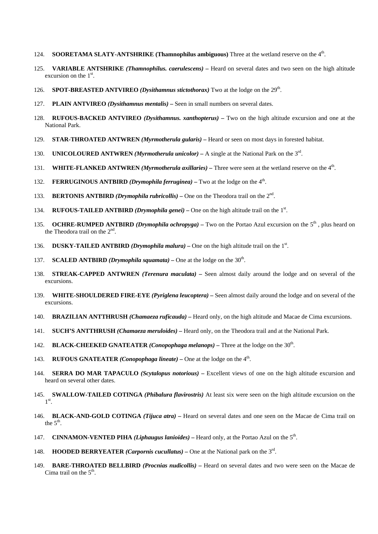- 124. **SOORETAMA SLATY-ANTSHRIKE (Thamnophilus ambiguous)** Three at the wetland reserve on the 4th.
- 125. **VARIABLE ANTSHRIKE** *(Thamnophilus. caerulescens)* Heard on several dates and two seen on the high altitude excursion on the  $1<sup>st</sup>$ .
- 126. **SPOT-BREASTED ANTVIREO** *(Dysithamnus stictothorax)* Two at the lodge on the 29th.
- 127. **PLAIN ANTVIREO** *(Dysithamnus mentalis)* Seen in small numbers on several dates.
- 128. **RUFOUS-BACKED ANTVIREO** *(Dysithamnus. xanthopterus)* Two on the high altitude excursion and one at the National Park.
- 129. **STAR-THROATED ANTWREN** *(Myrmotherula gularis)* Heard or seen on most days in forested habitat.
- 130. **UNICOLOURED ANTWREN** *(Myrmotherula unicolor)* A single at the National Park on the 3rd.
- 131. **WHITE-FLANKED ANTWREN** *(Myrmotherula axillaries)* Three were seen at the wetland reserve on the 4th.
- 132. **FERRUGINOUS ANTBIRD** *(Drymophila ferruginea)* Two at the lodge on the 4th.
- 133. **BERTONIS ANTBIRD** *(Drymophila rubricollis)* One on the Theodora trail on the 2nd.
- 134. **RUFOUS-TAILED ANTBIRD** *(Drymophila genei)* One on the high altitude trail on the 1<sup>st</sup>.
- 135. **OCHRE-RUMPED ANTBIRD** *(Drymophila ochropyga)* Two on the Portao Azul excursion on the 5<sup>th</sup>, plus heard on the Theodora trail on the  $2<sup>nd</sup>$ .
- 136. **DUSKY-TAILED ANTBIRD** *(Drymophila malura)* One on the high altitude trail on the  $1<sup>st</sup>$ .
- 137. **SCALED ANTBIRD** *(Drymophila squamata)* One at the lodge on the 30<sup>th</sup>.
- 138. **STREAK-CAPPED ANTWREN** *(Terenura maculata)* Seen almost daily around the lodge and on several of the excursions.
- 139. **WHITE-SHOULDERED FIRE-EYE** *(Pyriglena leucoptera)* Seen almost daily around the lodge and on several of the excursions.
- 140. **BRAZILIAN ANTTHRUSH** *(Chamaeza ruficauda)* Heard only, on the high altitude and Macae de Cima excursions.
- 141. **SUCH'S ANTTHRUSH** *(Chamaeza meruloides)* Heard only, on the Theodora trail and at the National Park.
- 142. **BLACK-CHEEKED GNATEATER** *(Conopophaga melanops)* Three at the lodge on the 30th.
- 143. **RUFOUS GNATEATER** *(Conopophaga lineate)* One at the lodge on the  $4<sup>th</sup>$ .
- 144. **SERRA DO MAR TAPACULO** *(Scytalopus notorious)* Excellent views of one on the high altitude excursion and heard on several other dates.
- 145. **SWALLOW-TAILED COTINGA** *(Phibalura flavirostris)* At least six were seen on the high altitude excursion on the  $1^\text{st}$ .
- 146. **BLACK-AND-GOLD COTINGA** *(Tijuca atra)* Heard on several dates and one seen on the Macae de Cima trail on the  $5<sup>th</sup>$ .
- 147. **CINNAMON-VENTED PIHA** *(Liphaugus lanioides)* Heard only, at the Portao Azul on the 5th.
- 148. **HOODED BERRYEATER** *(Carpornis cucullatus)* One at the National park on the 3rd.
- 149. **BARE-THROATED BELLBIRD** *(Procnias nudicollis)* Heard on several dates and two were seen on the Macae de Cima trail on the  $5<sup>th</sup>$ .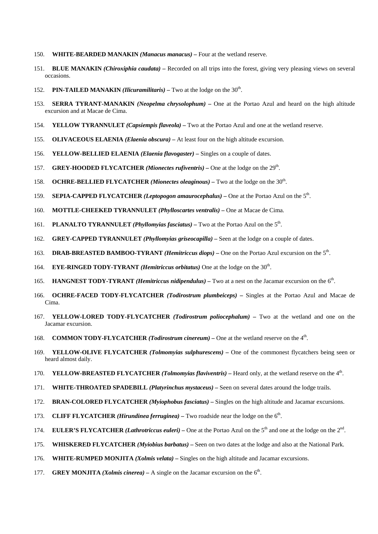- 150. **WHITE-BEARDED MANAKIN** *(Manacus manacus)* Four at the wetland reserve.
- 151. **BLUE MANAKIN** *(Chiroxiphia caudata)* Recorded on all trips into the forest, giving very pleasing views on several occasions.
- 152. **PIN-TAILED MANAKIN** *(Ilicuramilitaris)* Two at the lodge on the 30<sup>th</sup>.
- 153. **SERRA TYRANT-MANAKIN** *(Neopelma chrysolophum)* One at the Portao Azul and heard on the high altitude excursion and at Macae de Cima.
- 154. **YELLOW TYRANNULET** *(Capsiempis flaveola)* Two at the Portao Azul and one at the wetland reserve.
- 155. **OLIVACEOUS ELAENIA** *(Elaenia obscura)* At least four on the high altitude excursion.
- 156. **YELLOW-BELLIED ELAENIA** *(Elaenia flavogaster)* Singles on a couple of dates.
- 157. **GREY-HOODED FLYCATCHER** *(Mionectes rufiventris)* One at the lodge on the 29th.
- 158. **OCHRE-BELLIED FLYCATCHER** *(Mionectes oleaginous)* Two at the lodge on the 30th.
- 159. **SEPIA-CAPPED FLYCATCHER** *(Leptopogon amaurocephalus)* One at the Portao Azul on the 5th.
- 160. **MOTTLE-CHEEKED TYRANNULET** *(Phylloscartes ventralis)* One at Macae de Cima.
- 161. **PLANALTO TYRANNULET** *(Phyllomyias fasciatus)* Two at the Portao Azul on the 5th.
- 162. **GREY-CAPPED TYRANNULET** *(Phyllomyias griseocapilla)* Seen at the lodge on a couple of dates.
- 163. **DRAB-BREASTED BAMBOO-TYRANT** *(Hemitriccus diops)* One on the Portao Azul excursion on the 5th.
- 164. **EYE-RINGED TODY-TYRANT** *(Hemitriccus orbitatus)* One at the lodge on the 30<sup>th</sup>.
- 165. **HANGNEST TODY-TYRANT** *(Hemitriccus nidipendulus)* Two at a nest on the Jacamar excursion on the 6th.
- 166. **OCHRE-FACED TODY-FLYCATCHER** *(Todirostrum plumbeiceps)* Singles at the Portao Azul and Macae de Cima.
- 167. **YELLOW-LORED TODY-FLYCATCHER** *(Todirostrum poliocephalum)* Two at the wetland and one on the Jacamar excursion.
- 168. **COMMON TODY-FLYCATCHER** *(Todirostrum cinereum)* One at the wetland reserve on the 4<sup>th</sup>.
- 169. **YELLOW-OLIVE FLYCATCHER** *(Tolmomyias sulphurescens)* One of the commonest flycatchers being seen or heard almost daily.
- 170. **YELLOW-BREASTED FLYCATCHER** *(Tolmomyias flaviventris)* **Heard only, at the wetland reserve on the 4<sup>th</sup>.**
- 171. **WHITE-THROATED SPADEBILL** *(Platyrinchus mystaceus)* Seen on several dates around the lodge trails.
- 172. **BRAN-COLORED FLYCATCHER** *(Myiophobus fasciatus)* Singles on the high altitude and Jacamar excursions.
- 173. **CLIFF FLYCATCHER** *(Hirundinea ferruginea)* Two roadside near the lodge on the 6th.
- 174. **EULER'S FLYCATCHER** *(Lathrotriccus euleri)* One at the Portao Azul on the 5th and one at the lodge on the 2nd.
- 175. **WHISKERED FLYCATCHER** *(Myiobius barbatus)* Seen on two dates at the lodge and also at the National Park.
- 176. **WHITE-RUMPED MONJITA** *(Xolmis velata)* Singles on the high altitude and Jacamar excursions.
- 177. **GREY MONJITA** *(Xolmis cinerea)* A single on the Jacamar excursion on the  $6<sup>th</sup>$ .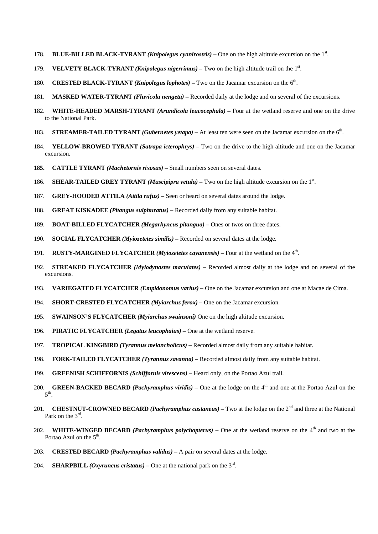- 178. **BLUE-BILLED BLACK-TYRANT** (*Knipolegus cyanirostris*) One on the high altitude excursion on the 1<sup>st</sup>.
- 179. **VELVETY BLACK-TYRANT** *(Knipolegus nigerrimus)* Two on the high altitude trail on the 1<sup>st</sup>.
- 180. **CRESTED BLACK-TYRANT** *(Knipolegus lophotes)* Two on the Jacamar excursion on the 6th.
- 181. **MASKED WATER-TYRANT** *(Fluvicola nengeta)* Recorded daily at the lodge and on several of the excursions.
- 182. **WHITE-HEADED MARSH-TYRANT** *(Arundicola leucocephala)* Four at the wetland reserve and one on the drive to the National Park.
- 183. **STREAMER-TAILED TYRANT** *(Gubernetes yetapa)* At least ten were seen on the Jacamar excursion on the 6th.
- 184. **YELLOW-BROWED TYRANT** *(Satrapa icterophrys)* Two on the drive to the high altitude and one on the Jacamar excursion.
- **185. CATTLE TYRANT** *(Machetornis rixosus)* Small numbers seen on several dates.
- 186. **SHEAR-TAILED GREY TYRANT** (*Muscipipra vetula*) Two on the high altitude excursion on the 1<sup>st</sup>.
- 187. **GREY-HOODED ATTILA** *(Attila rufus)* Seen or heard on several dates around the lodge.
- 188. **GREAT KISKADEE** *(Pitangus sulphuratus)* Recorded daily from any suitable habitat.
- 189. **BOAT-BILLED FLYCATCHER** *(Megarhyncus pitangua)* Ones or twos on three dates.
- 190. **SOCIAL FLYCATCHER** *(Myiozetetes similis)* Recorded on several dates at the lodge.
- 191. **RUSTY-MARGINED FLYCATCHER** *(Myiozetetes cayanensis)* Four at the wetland on the 4<sup>th</sup>.
- 192. **STREAKED FLYCATCHER** *(Myiodynastes maculates)* Recorded almost daily at the lodge and on several of the excursions.
- 193. **VARIEGATED FLYCATCHER** *(Empidonomus varius)* One on the Jacamar excursion and one at Macae de Cima.
- 194. **SHORT-CRESTED FLYCATCHER** *(Myiarchus ferox)* One on the Jacamar excursion.
- 195. **SWAINSON'S FLYCATCHER** *(Myiarchus swainsoni)* One on the high altitude excursion.
- 196. **PIRATIC FLYCATCHER** *(Legatus leucophaius)* One at the wetland reserve.
- 197. **TROPICAL KINGBIRD** *(Tyrannus melancholicus)* Recorded almost daily from any suitable habitat.
- 198. **FORK-TAILED FLYCATCHER** *(Tyrannus savanna)* Recorded almost daily from any suitable habitat.
- 199. **GREENISH SCHIFFORNIS** *(Schiffornis virescens)* Heard only, on the Portao Azul trail.
- 200. **GREEN-BACKED BECARD** *(Pachyramphus viridis)* One at the lodge on the 4<sup>th</sup> and one at the Portao Azul on the  $5^{\text{th}}$ .
- 201. **CHESTNUT-CROWNED BECARD** *(Pachyramphus castaneus)* Two at the lodge on the 2<sup>nd</sup> and three at the National Park on the 3rd.
- 202. **WHITE-WINGED BECARD** *(Pachyramphus polychopterus)* One at the wetland reserve on the 4<sup>th</sup> and two at the Portao Azul on the  $5<sup>th</sup>$ .
- 203. **CRESTED BECARD** *(Pachyramphus validus)* A pair on several dates at the lodge.
- 204. **SHARPBILL** *(Oxyruncus cristatus)* One at the national park on the  $3<sup>rd</sup>$ .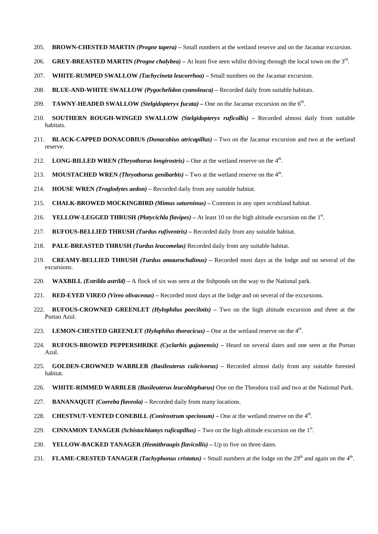- 205. **BROWN-CHESTED MARTIN** *(Progne tapera)* Small numbers at the wetland reserve and on the Jacamar excursion.
- 206. **GREY-BREASTED MARTIN** *(Progne chalybea)* At least five seen whilst driving through the local town on the 3rd.
- 207. **WHITE-RUMPED SWALLOW** *(Tachycineta leucorrhoa)* Small numbers on the Jacamar excursion.
- 208. **BLUE-AND-WHITE SWALLOW** *(Pygochelidon cyanoleuca)* Recorded daily from suitable habitats.
- 209. **TAWNY-HEADED SWALLOW** *(Stelgidopteryx fucata)* One on the Jacamar excursion on the 6<sup>th</sup>.
- 210. **SOUTHERN ROUGH-WINGED SWALLOW** *(Stelgidopteryx ruficollis)* Recorded almost daily from suitable habitats.
- 211. **BLACK-CAPPED DONACOBIUS** *(Donacobius atricapillus)* Two on the Jacamar excursion and two at the wetland reserve.
- 212. **LONG-BILLED WREN** *(Thryothorus longirostris)* One at the wetland reserve on the  $4<sup>th</sup>$ .
- 213. **MOUSTACHED WREN** *(Thryothorus genibarbis)* Two at the wetland reserve on the  $4<sup>th</sup>$ .
- 214. **HOUSE WREN** *(Troglodytes aedon)* Recorded daily from any suitable habitat.
- 215. **CHALK-BROWED MOCKINGBIRD** *(Mimus saturninus)* Common in any open scrubland habitat.
- 216. **YELLOW-LEGGED THRUSH** *(Platycichla flavipes)* At least 10 on the high altitude excursion on the 1<sup>st</sup>.
- 217. **RUFOUS-BELLIED THRUSH** *(Turdus rufiventris)* Recorded daily from any suitable habitat.
- 218. **PALE-BREASTED THRUSH** *(Turdus leucomelas)* Recorded daily from any suitable habitat.
- 219. **CREAMY-BELLIED THRUSH** *(Turdus amaurochalinus)* Recorded most days at the lodge and on several of the excursions.
- 220. **WAXBILL** *(Estrilda astrild)* A flock of six was seen at the fishponds on the way to the National park.
- 221. **RED-EYED VIREO** *(Vireo olivaceous)* Recorded most days at the lodge and on several of the excursions.
- 222. **RUFOUS-CROWNED GREENLET** *(Hylophilus poecilotis)* Two on the high altitude excursion and three at the Portao Azul.
- 223. **LEMON-CHESTED GREENLET** *(Hylophilus thoracicus)* One at the wetland reserve on the  $4<sup>th</sup>$ .
- 224. **RUFOUS-BROWED PEPPERSHRIKE** *(Cyclarhis gujanensis)* Heard on several dates and one seen at the Portao Azul.
- 225. **GOLDEN-CROWNED WARBLER** *(Basileuterus culicivorus)* Recorded almost daily from any suitable forested habitat.
- 226. **WHITE-RIMMED WARBLER** *(Basileuterus leucoblepharus)* One on the Theodora trail and two at the National Park.
- 227. **BANANAQUIT** *(Coereba flaveola)* Recorded daily from many locations.
- 228. **CHESTNUT-VENTED CONEBILL** *(Conirostrum speciosum)* One at the wetland reserve on the 4<sup>th</sup>.
- 229. **CINNAMON TANAGER** *(Schistochlamys ruficapillus)* Two on the high altitude excursion on the  $1<sup>st</sup>$ .
- 230. **YELLOW-BACKED TANAGER** *(Hemithraupis flavicollis)* Up to five on three dates.
- 231. **FLAME-CRESTED TANAGER** *(Tachyphonus cristatus)* Small numbers at the lodge on the 29<sup>th</sup> and again on the 4<sup>th</sup>.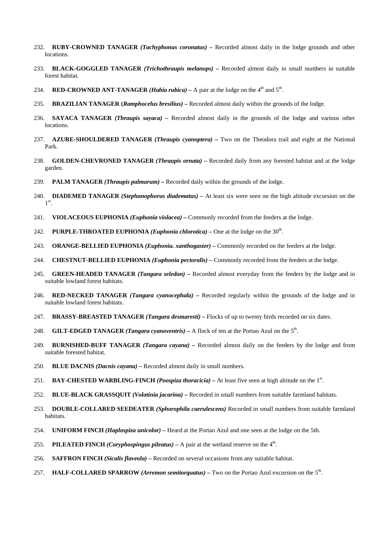- 232. **RUBY-CROWNED TANAGER** *(Tachyphonus coronatus)* Recorded almost daily in the lodge grounds and other locations.
- 233. **BLACK-GOGGLED TANAGER** *(Trichothraupis melanops)* Recorded almost daily in small numbers in suitable forest habitat.
- 234. **RED-CROWNED ANT-TANAGER** *(Habia rubica)* A pair at the lodge on the  $4<sup>th</sup>$  and  $5<sup>th</sup>$ .
- 235. **BRAZILIAN TANAGER (***Ramphocelus bresilius)* Recorded almost daily within the grounds of the lodge.
- 236. **SAYACA TANAGER** *(Thraupis sayaca)* Recorded almost daily in the grounds of the lodge and various other locations.
- 237. **AZURE-SHOULDERED TANAGER** *(Thraupis cyanoptera)* Two on the Theodora trail and eight at the National Park.
- 238. **GOLDEN-CHEVRONED TANAGER** *(Thraupis ornata)* Recorded daily from any forested habitat and at the lodge garden.
- 239. **PALM TANAGER** *(Thraupis palmarum)* Recorded daily within the grounds of the lodge.
- 240. **DIADEMED TANAGER** *(Stephanophorus diadematus)* At least six were seen on the high altitude excursion on the  $1^\text{st}$ .
- 241. **VIOLACEOUS EUPHONIA** *(Euphonia violacea)* Commonly recorded from the feeders at the lodge.
- 242. **PURPLE-THROATED EUPHONIA** *(Euphonia chlorotica)* One at the lodge on the 30<sup>th</sup>.
- 243. **ORANGE-BELLIED EUPHONIA** *(Euphonia. xanthogaster)* Commonly recorded on the feeders at the lodge.
- 244. **CHESTNUT-BELLIED EUPHONIA** *(Euphonia pectoralis)* Commonly recorded from the feeders at the lodge.
- 245. **GREEN-HEADED TANAGER** *(Tangara seledon)* Recorded almost everyday from the feeders by the lodge and in suitable lowland forest habitats.
- 246. **RED-NECKED TANAGER** *(Tangara cyanocephala)* Recorded regularly within the grounds of the lodge and in suitable lowland forest habitats.
- 247. **BRASSY-BREASTED TANAGER** *(Tangara desmaresti)* Flocks of up to twenty birds recorded on six dates.
- 248. **GILT-EDGED TANAGER** *(Tangara cyanoventris)* A flock of ten at the Portao Azul on the 5th.
- 249. **BURNISHED-BUFF TANAGER** *(Tangara cayana)* Recorded almost daily on the feeders by the lodge and from suitable forested habitat.
- 250. **BLUE DACNIS** *(Dacnis cayana)* Recorded almost daily in small numbers.
- 251. **BAY-CHESTED WARBLING-FINCH** (*Poospiza thoracicia*) At least five seen at high altitude on the 1<sup>st</sup>.
- 252. **BLUE-BLACK GRASSQUIT** *(Volatinia jacarina)* Recorded in small numbers from suitable farmland habitats.
- 253. **DOUBLE-COLLARED SEEDEATER** *(Sphorophila caerulescens)* Recorded in small numbers from suitable farmland habitats.
- 254. **UNIFORM FINCH** *(Haplospiza unicolor)* Heard at the Portao Azul and one seen at the lodge on the 5th.
- 255. **PILEATED FINCH** *(Coryphospingus pileatus)* A pair at the wetland reserve on the 4<sup>th</sup>.
- 256. **SAFFRON FINCH** *(Sicalis flaveola)* Recorded on several occasions from any suitable habitat.
- 257. **HALF-COLLARED SPARROW** *(Arremon semitorquatus)* Two on the Portao Azul excursion on the 5th.